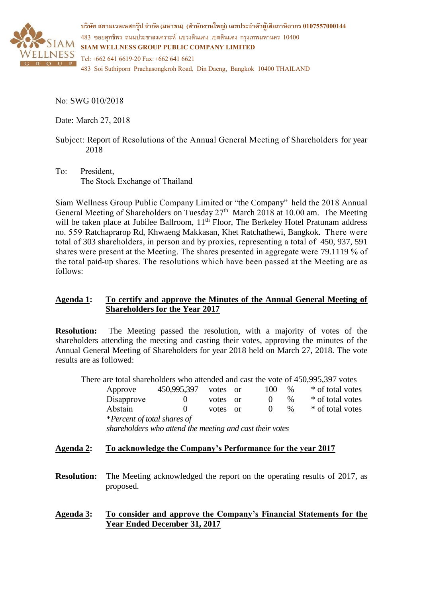

**บริษทั สยามเวลเนสกรุ๊ป จ ากัด (มหาชน) (สา นักงานใหญ่) เลขประจ าตัวผู้เสียภาษีอากร 0107557000144** 483 ซอยสุทธิพร ถนนประชาสงเคราะห์ แขวงดินแดง เขตดินแดง กรุงเทพมหานคร 10400 **SIAM WELLNESS GROUP PUBLIC COMPANY LIMITED** Tel: +662 641 6619-20 Fax: +662 641 6621 483 Soi Suthiporn Prachasongkroh Road, Din Daeng, Bangkok 10400 THAILAND

No: SWG 010/2018

Date: March 27, 2018

- Subject: Report of Resolutions of the Annual General Meeting of Shareholders for year 2018
- To: President, The Stock Exchange of Thailand

Siam Wellness Group Public Company Limited or "the Company" held the 2018 Annual General Meeting of Shareholders on Tuesday 27<sup>th</sup> March 2018 at 10.00 am. The Meeting will be taken place at Jubilee Ballroom,  $11<sup>th</sup>$  Floor, The Berkeley Hotel Pratunam address no. 559 Ratchaprarop Rd, Khwaeng Makkasan, Khet Ratchathewi, Bangkok. There were total of 303 shareholders, in person and by proxies, representing a total of 450, 937, 591 shares were present at the Meeting. The shares presented in aggregate were 79.1119 % of the total paid-up shares. The resolutions which have been passed at the Meeting are as follows:

# **Agenda 1: To certify and approve the Minutes of the Annual General Meeting of Shareholders for the Year 2017**

**Resolution:** The Meeting passed the resolution, with a majority of votes of the shareholders attending the meeting and casting their votes, approving the minutes of the Annual General Meeting of Shareholders for year 2018 held on March 27, 2018. The vote results are as followed:

There are total shareholders who attended and cast the vote of 450,995,397 votes

| Approve                     | 450,995,397 | votes    | - or     | 100 | $\%$ | * of total votes |
|-----------------------------|-------------|----------|----------|-----|------|------------------|
| Disapprove                  |             | votes or |          |     | $\%$ | * of total votes |
| Abstain                     |             | votes    | $\alpha$ |     | $\%$ | * of total votes |
| *Percent of total shares of |             |          |          |     |      |                  |

*shareholders who attend the meeting and cast their votes*

# **Agenda 2: To acknowledge the Company's Performance for the year 2017**

- **Resolution:** The Meeting acknowledged the report on the operating results of 2017, as proposed.
- **Agenda 3: To consider and approve the Company's Financial Statements for the Year Ended December 31, 2017**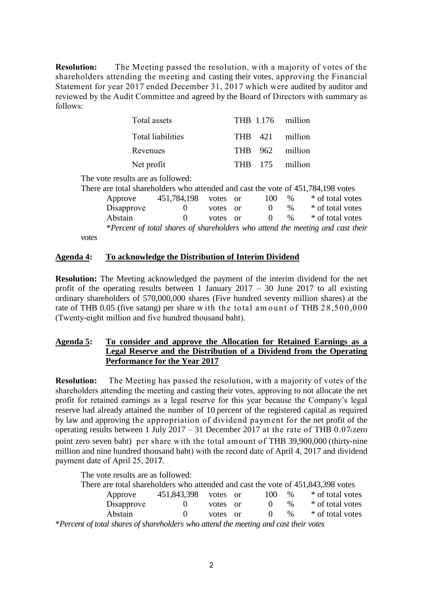**Resolution:** The Meeting passed the resolution, with a majority of votes of the shareholders attending the meeting and casting their votes, approving the Financial Statement for year 2017 ended December 31, 2017 which were audited by auditor and reviewed by the Audit Committee and agreed by the Board of Directors with summary as follows:

| Total assets             | THB 1.176 million |  |
|--------------------------|-------------------|--|
| <b>Total liabilities</b> | THB 421 million   |  |
| Revenues                 | THB 962 million   |  |
| Net profit               | THB 175 million   |  |

The vote results are as followed:

|       |            |             |       |          |          |               | There are total shareholders who attended and cast the vote of 451,784,198 votes |
|-------|------------|-------------|-------|----------|----------|---------------|----------------------------------------------------------------------------------|
|       | Approve    | 451,784,198 | votes | or       | 100      | $\%$          | * of total votes                                                                 |
|       | Disapprove |             | votes | $\alpha$ | $\theta$ | $\%$          | * of total votes                                                                 |
|       | Abstain    |             | votes | - or     | $\Omega$ | $\frac{0}{6}$ | * of total votes                                                                 |
|       |            |             |       |          |          |               | *Percent of total shares of shareholders who attend the meeting and cast their   |
| votes |            |             |       |          |          |               |                                                                                  |

*votes*

## **Agenda 4: To acknowledge the Distribution of Interim Dividend**

**Resolution:** The Meeting acknowledged the payment of the interim dividend for the net profit of the operating results between 1 January  $2017 - 30$  June 2017 to all existing ordinary shareholders of 570,000,000 shares (Five hundred seventy million shares) at the rate of THB 0.05 (five satang) per share w ith the total am ount of THB 28,500,000 (Twenty-eight million and five hundred thousand baht).

## **Agenda 5: To consider and approve the Allocation for Retained Earnings as a Legal Reserve and the Distribution of a Dividend from the Operating Performance for the Year 2017**

**Resolution:** The Meeting has passed the resolution, with a majority of votes of the shareholders attending the meeting and casting their votes, approving to not allocate the net profit for retained earnings as a legal reserve for this year because the Company's legal reserve had already attained the number of 10 percent of the registered capital as required by law and approving the appropriation of dividend paym ent for the net profit of the operating results between 1 July 2017 – 31 December 2017 at the rate of THB 0.07(zero point zero seven baht) per share with the total amount of THB 39,900,000 (thirty-nine million and nine hundred thousand baht) with the record date of April 4, 2017 and dividend payment date of April 25, 201**7**.

The vote results are as followed:

| There are total shareholders who attended and cast the vote of 451,843,398 votes                  |             |          |  |          |      |                  |  |
|---------------------------------------------------------------------------------------------------|-------------|----------|--|----------|------|------------------|--|
| Approve                                                                                           | 451,843,398 | votes or |  | 100      | $\%$ | * of total votes |  |
| Disapprove                                                                                        |             | votes or |  |          | $\%$ | * of total votes |  |
| Abstain                                                                                           |             | votes or |  | $\theta$ | $\%$ | * of total votes |  |
| $\mathcal{L}$ Percent of total shares of shareholders who attend the meeting and cast their votes |             |          |  |          |      |                  |  |

\**Percent of total shares of shareholders who attend the meeting and cast their votes*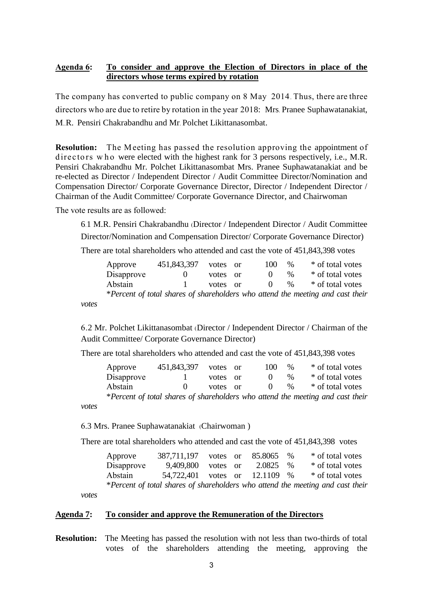# **Agenda 6: To consider and approve the Election of Directors in place of the directors whose terms expired by rotation**

The company has converted to public company on 8 May 2014. Thus, there are three directors who are due to retire by rotation in the year 2018: Mrs. Pranee Suphawatanakiat, M..R. Pensiri Chakrabandhu and Mr. Polchet Likittanasombat.

**Resolution:** The M eeting has passed the resolution approving the appointment of directors w ho were elected with the highest rank for 3 persons respectively, i.e., M.R. Pensiri Chakrabandhu Mr. Polchet Likittanasombat Mrs. Pranee Suphawatanakiat and be re-elected as Director / Independent Director / Audit Committee Director/Nomination and Compensation Director/ Corporate Governance Director, Director / Independent Director / Chairman of the Audit Committee/ Corporate Governance Director, and Chairwoman

The vote results are as followed:

6.1 M.R. Pensiri Chakrabandhu (Director / Independent Director / Audit Committee Director/Nomination and Compensation Director/ Corporate Governance Director) There are total shareholders who attended and cast the vote of 451,843,398 votes

Approve 451,843,397 votes or 100 % \* of total votes Disapprove 0 votes or 0  $\%$  \* of total votes Abstain 1 votes or 0  $\%$  \* of total votes \**Percent of total shares of shareholders who attend the meeting and cast their* 

*votes*

6.2 Mr. Polchet Likittanasombat (Director / Independent Director / Chairman of the Audit Committee/ Corporate Governance Director)

There are total shareholders who attended and cast the vote of 451,843,398 votes

| Approve    | 451,843,397  | votes or | 100              | $\%$ | * of total votes                                                               |
|------------|--------------|----------|------------------|------|--------------------------------------------------------------------------------|
| Disapprove |              | votes or |                  | $\%$ | * of total votes                                                               |
| Abstain    | $\mathbf{O}$ | votes or | $\left( \right)$ | $\%$ | * of total votes                                                               |
|            |              |          |                  |      | *Percent of total shares of shareholders who attend the meeting and cast their |

*votes*

6.3 Mrs. Pranee Suphawatanakiat (Chairwoman )

There are total shareholders who attended and cast the vote of 451,843,398 votes

| Approve                                                                        | 387,711,197                   |          |  | votes or 85.8065 | $\%$ | * of total votes |  |
|--------------------------------------------------------------------------------|-------------------------------|----------|--|------------------|------|------------------|--|
| Disapprove                                                                     | 9,409,800                     | votes or |  | 2.0825 %         |      | * of total votes |  |
| Abstain                                                                        | 54,722,401 votes or 12.1109 % |          |  |                  |      | * of total votes |  |
| *Percent of total shares of shareholders who attend the meeting and cast their |                               |          |  |                  |      |                  |  |

*votes*

#### **Agenda 7: To consider and approve the Remuneration of the Directors**

**Resolution:** The Meeting has passed the resolution with not less than two-thirds of total votes of the shareholders attending the meeting, approving the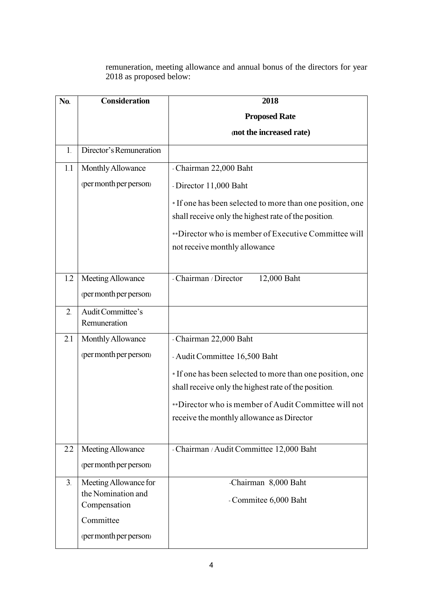remuneration, meeting allowance and annual bonus of the directors for year 2018 as proposed below:

| N <sub>0</sub> . | <b>Consideration</b>               | 2018                                                      |
|------------------|------------------------------------|-----------------------------------------------------------|
|                  |                                    | <b>Proposed Rate</b>                                      |
|                  |                                    | (not the increased rate)                                  |
| 1.               | Director's Remuneration            |                                                           |
| 1.1              | Monthly Allowance                  | - Chairman 22,000 Baht                                    |
|                  | (per month per person)             | - Director 11,000 Baht                                    |
|                  |                                    | * If one has been selected to more than one position, one |
|                  |                                    | shall receive only the highest rate of the position.      |
|                  |                                    | **Director who is member of Executive Committee will      |
|                  |                                    | not receive monthly allowance                             |
|                  |                                    |                                                           |
| 1.2              | Meeting Allowance                  | - Chairman / Director<br>12,000 Baht                      |
|                  | (per month per person)             |                                                           |
| 2.               | Audit Committee's                  |                                                           |
|                  | Remuneration                       |                                                           |
| 2.1              | Monthly Allowance                  | - Chairman 22,000 Baht                                    |
|                  | (per month per person)             | - Audit Committee 16,500 Baht                             |
|                  |                                    | *If one has been selected to more than one position, one  |
|                  |                                    | shall receive only the highest rate of the position.      |
|                  |                                    | **Director who is member of Audit Committee will not      |
|                  |                                    | receive the monthly allowance as Director                 |
|                  |                                    |                                                           |
| 2.2              | Meeting Allowance                  | - Chairman / Audit Committee 12,000 Baht                  |
|                  | (per month per person)             |                                                           |
| 3 <sub>1</sub>   | Meeting Allowance for              | -Chairman 8,000 Baht                                      |
|                  | the Nomination and<br>Compensation | - Commitee 6,000 Baht                                     |
|                  | Committee                          |                                                           |
|                  | (per month per person)             |                                                           |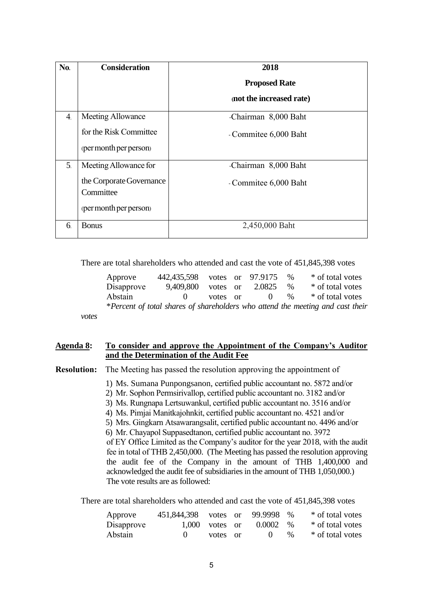| No.            | <b>Consideration</b>     | 2018                     |
|----------------|--------------------------|--------------------------|
|                |                          | <b>Proposed Rate</b>     |
|                |                          | (not the increased rate) |
| 4.             | Meeting Allowance        | -Chairman 8,000 Baht     |
|                | for the Risk Committee   | - Commitee 6,000 Baht    |
|                | (per month per person)   |                          |
| 5 <sub>1</sub> | Meeting Allowance for    | -Chairman 8,000 Baht     |
|                | the Corporate Governance | - Commitee 6,000 Baht    |
|                | Committee                |                          |
|                | (per month per person)   |                          |
| 6.             | <b>Bonus</b>             | 2,450,000 Baht           |

There are total shareholders who attended and cast the vote of 451,845,398 votes

| Approve    | 442,435,598 votes or 97.9175 |          |          | $\%$ | * of total votes                                                               |
|------------|------------------------------|----------|----------|------|--------------------------------------------------------------------------------|
| Disapprove | 9.409.800                    | votes or | 2.0825   | $\%$ | * of total votes                                                               |
| Abstain    | $\mathbf{O}$                 | votes or | $\sim 0$ | $\%$ | * of total votes                                                               |
|            |                              |          |          |      | *Percent of total shares of shareholders who attend the meeting and cast their |
|            |                              |          |          |      |                                                                                |

# **Agenda 8: To consider and approve the Appointment of the Company's Auditor and the Determination of the Audit Fee**

**Resolution:** The Meeting has passed the resolution approving the appointment of

- 1) Ms. Sumana Punpongsanon, certified public accountant no. 5872 and/or
- 2) Mr. Sophon Permsirivallop, certified public accountant no. 3182 and/or
- 3) Ms. Rungnapa Lertsuwankul, certified public accountant no. 3516 and/or
- 4) Ms. Pimjai Manitkajohnkit, certified public accountant no. 4521 and/or
- 5) Mrs. Gingkarn Atsawarangsalit, certified public accountant no. 4496 and/or

6) Mr. Chayapol Suppasedtanon, certified public accountant no. 3972 of EY Office Limited as the Company's auditor for the year 2018, with the audit fee in total of THB 2,450,000. (The Meeting has passed the resolution approving the audit fee of the Company in the amount of THB 1,400,000 and acknowledged the audit fee of subsidiaries in the amount of THB 1,050,000.)

The vote results are as followed:

*votes*

There are total shareholders who attended and cast the vote of 451,845,398 votes

| Approve    | 451,844,398 votes or 99.9998 % |                  |              |      | * of total votes |
|------------|--------------------------------|------------------|--------------|------|------------------|
| Disapprove |                                | $1,000$ votes or | $0.0002 - %$ |      | * of total votes |
| Abstain    | $\mathbf{0}$                   | votes or         | $\bigcup$    | $\%$ | * of total votes |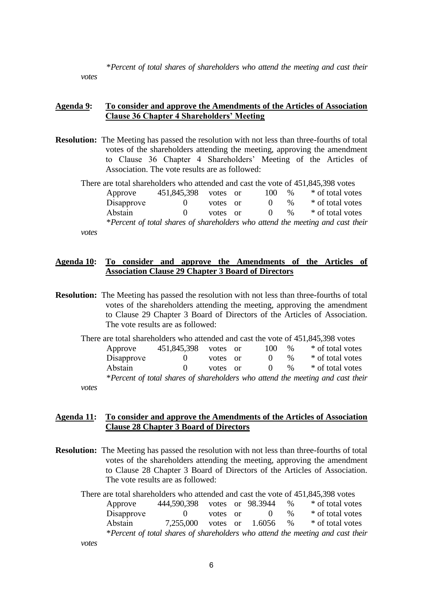\**Percent of total shares of shareholders who attend the meeting and cast their* 

*votes*

### **Agenda 9: To consider and approve the Amendments of the Articles of Association Clause 36 Chapter 4 Shareholders' Meeting**

**Resolution:** The Meeting has passed the resolution with not less than three-fourths of total votes of the shareholders attending the meeting, approving the amendment to Clause 36 Chapter 4 Shareholders' Meeting of the Articles of Association. The vote results are as followed:

There are total shareholders who attended and cast the vote of 451,845,398 votes Approve 451,845,398 votes or 100 % \* of total votes Disapprove 0 votes or 0  $\%$  \* of total votes Abstain 0 votes or 0 % \* of total votes \**Percent of total shares of shareholders who attend the meeting and cast their votes*

## **Agenda 10: To consider and approve the Amendments of the Articles of Association Clause 29 Chapter 3 Board of Directors**

- **Resolution:** The Meeting has passed the resolution with not less than three-fourths of total votes of the shareholders attending the meeting, approving the amendment to Clause 29 Chapter 3 Board of Directors of the Articles of Association. The vote results are as followed:
	- There are total shareholders who attended and cast the vote of 451,845,398 votes Approve  $451,845,398$  votes or  $100\%$  \* of total votes Disapprove 0 votes or 0  $\%$  \* of total votes Abstain 0 votes or 0 % \* of total votes \**Percent of total shares of shareholders who attend the meeting and cast their votes*

### **Agenda 11: To consider and approve the Amendments of the Articles of Association Clause 28 Chapter 3 Board of Directors**

**Resolution:** The Meeting has passed the resolution with not less than three-fourths of total votes of the shareholders attending the meeting, approving the amendment to Clause 28 Chapter 3 Board of Directors of the Articles of Association. The vote results are as followed:

There are total shareholders who attended and cast the vote of 451,845,398 votes Approve 444,590,398 votes or 98.3944 % \* of total votes Disapprove 0 votes or 0 %  $*$  of total votes Abstain 7,255,000 votes or 1.6056 % \* of total votes \**Percent of total shares of shareholders who attend the meeting and cast their votes*